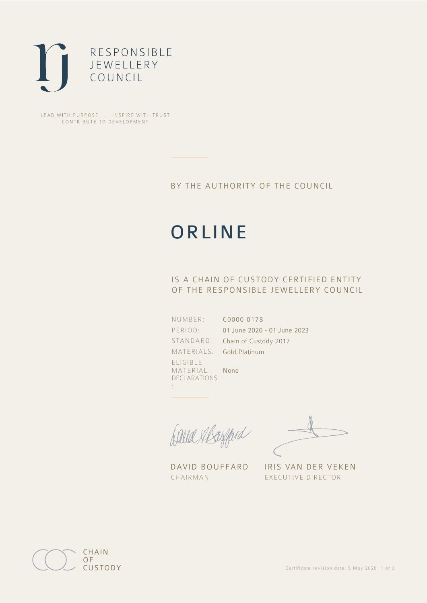

LEAD WITH PURPOSE . INSPIRE WITH TRUST CONTRIBUTE TO DEVELOPMENT

### BY THE AUTHORITY OF THE COUNCIL

# **ORLINE**

## IS A CHAIN OF CUSTODY CERTIFIED ENTITY OF THE RESPONSIBLE JEWELLERY COUNCIL

NUMBER: PERIOD: ELIGIBLE MATERIAL DECLARATIONS

:

STANDARD: Chain of Custody 2017 MATERIALS: Gold,Platinum C0000 0178 01 June 2020 - 01 June 2023

Balla Mayfard

None

CHAIRMAN EXECUTIVE DIRECTOR

DAVID BOUFFARD IRIS VAN DER VEKEN

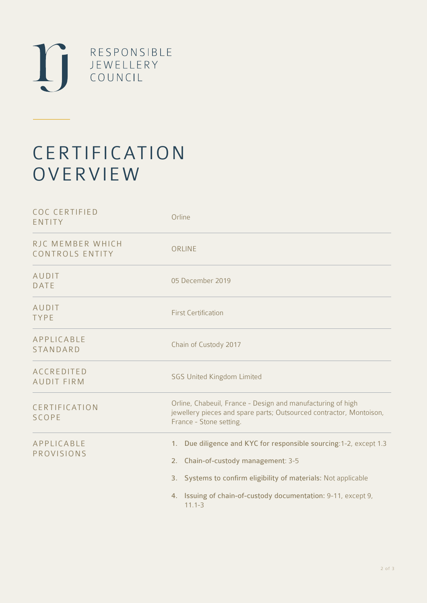

# CERTIFICATION **OVERVIEW**

| <b>COC CERTIFIED</b><br>ENTITY             | Orline                                                                                                                                                                                                                                                                    |
|--------------------------------------------|---------------------------------------------------------------------------------------------------------------------------------------------------------------------------------------------------------------------------------------------------------------------------|
| RJC MEMBER WHICH<br><b>CONTROLS ENTITY</b> | ORLINE                                                                                                                                                                                                                                                                    |
| AUDIT<br><b>DATE</b>                       | 05 December 2019                                                                                                                                                                                                                                                          |
| AUDIT<br><b>TYPE</b>                       | <b>First Certification</b>                                                                                                                                                                                                                                                |
| APPLICABLE<br><b>STANDARD</b>              | Chain of Custody 2017                                                                                                                                                                                                                                                     |
| <b>ACCREDITED</b><br><b>AUDIT FIRM</b>     | <b>SGS United Kingdom Limited</b>                                                                                                                                                                                                                                         |
| CERTIFICATION<br><b>SCOPE</b>              | Orline, Chabeuil, France - Design and manufacturing of high<br>jewellery pieces and spare parts; Outsourced contractor, Montoison,<br>France - Stone setting.                                                                                                             |
| APPLICABLE<br>PROVISIONS                   | Due diligence and KYC for responsible sourcing: 1-2, except 1.3<br>1 <sub>1</sub><br>2. Chain-of-custody management: 3-5<br>3. Systems to confirm eligibility of materials: Not applicable<br>4. Issuing of chain-of-custody documentation: 9-11, except 9,<br>$11.1 - 3$ |